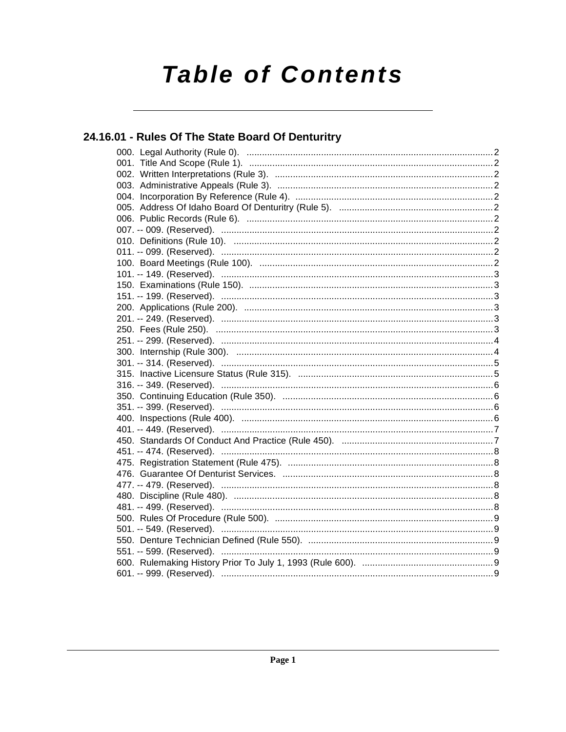# **Table of Contents**

# 24.16.01 - Rules Of The State Board Of Denturitry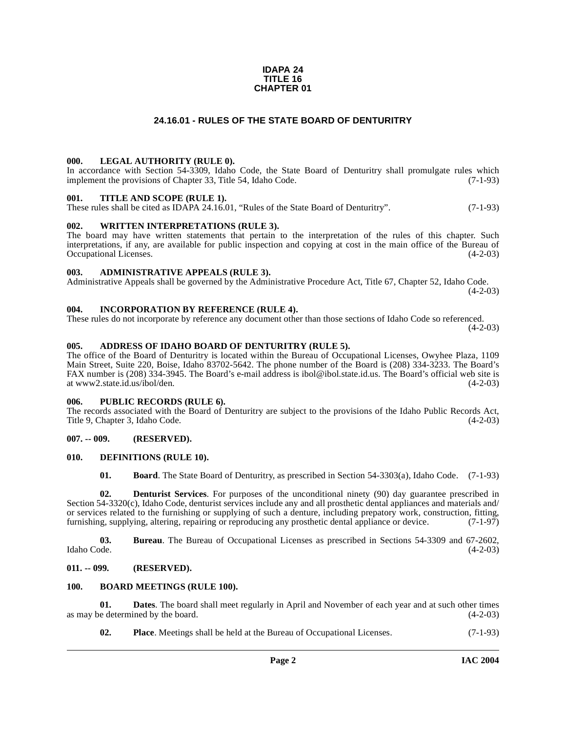#### **IDAPA 24 TITLE 16 CHAPTER 01**

### **24.16.01 - RULES OF THE STATE BOARD OF DENTURITRY**

#### <span id="page-1-1"></span><span id="page-1-0"></span>**000. LEGAL AUTHORITY (RULE 0).**

In accordance with Section 54-3309, Idaho Code, the State Board of Denturitry shall promulgate rules which implement the provisions of Chapter 33, Title 54, Idaho Code. (7-1-93)

#### <span id="page-1-2"></span>**001. TITLE AND SCOPE (RULE 1).**

These rules shall be cited as IDAPA 24.16.01, "Rules of the State Board of Denturitry". (7-1-93)

#### <span id="page-1-3"></span>**002. WRITTEN INTERPRETATIONS (RULE 3).**

The board may have written statements that pertain to the interpretation of the rules of this chapter. Such interpretations, if any, are available for public inspection and copying at cost in the main office of the Bureau of Occupational Licenses. (4-2-03) Occupational Licenses.

#### <span id="page-1-4"></span>**003. ADMINISTRATIVE APPEALS (RULE 3).**

Administrative Appeals shall be governed by the Administrative Procedure Act, Title 67, Chapter 52, Idaho Code.  $(4-2-03)$ 

### <span id="page-1-5"></span>**004. INCORPORATION BY REFERENCE (RULE 4).**

These rules do not incorporate by reference any document other than those sections of Idaho Code so referenced.  $(4-2-03)$ 

#### <span id="page-1-6"></span>**005. ADDRESS OF IDAHO BOARD OF DENTURITRY (RULE 5).**

The office of the Board of Denturitry is located within the Bureau of Occupational Licenses, Owyhee Plaza, 1109 Main Street, Suite 220, Boise, Idaho 83702-5642. The phone number of the Board is (208) 334-3233. The Board's FAX number is (208) 334-3945. The Board's e-mail address is ibol@ibol.state.id.us. The Board's official web site is at www2.state.id.us/ibol/den. (4-2-03)

#### <span id="page-1-7"></span>**006. PUBLIC RECORDS (RULE 6).**

The records associated with the Board of Denturitry are subject to the provisions of the Idaho Public Records Act, Title 9, Chapter 3, Idaho Code. (4-2-03) Title 9, Chapter 3, Idaho Code.

#### <span id="page-1-8"></span>**007. -- 009. (RESERVED).**

#### <span id="page-1-9"></span>**010. DEFINITIONS (RULE 10).**

<span id="page-1-15"></span><span id="page-1-14"></span><span id="page-1-13"></span>**01. Board**. The State Board of Denturitry, as prescribed in Section 54-3303(a), Idaho Code. (7-1-93)

**02. Denturist Services**. For purposes of the unconditional ninety (90) day guarantee prescribed in Section 54-3320(c), Idaho Code, denturist services include any and all prosthetic dental appliances and materials and/ or services related to the furnishing or supplying of such a denture, including prepatory work, construction, fitting, furnishing, supplying, altering, repairing or reproducing any prosthetic dental appliance or device. (7-1-97)

**03.** Bureau. The Bureau of Occupational Licenses as prescribed in Sections 54-3309 and 67-2602, Idaho Code. (4-2-03) Idaho Code. (4-2-03)

#### <span id="page-1-10"></span>**011. -- 099. (RESERVED).**

#### <span id="page-1-12"></span><span id="page-1-11"></span>**100. BOARD MEETINGS (RULE 100).**

**01. Dates**. The board shall meet regularly in April and November of each year and at such other times e determined by the board.  $(4-2-03)$ as may be determined by the board.

**02. Place**. Meetings shall be held at the Bureau of Occupational Licenses. (7-1-93)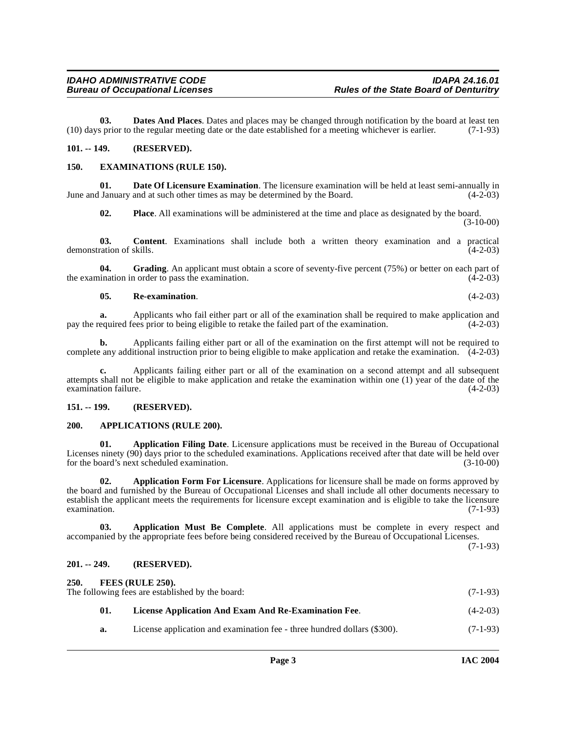**03. Dates And Places**. Dates and places may be changed through notification by the board at least ten (10) days prior to the regular meeting date or the date established for a meeting whichever is earlier. (7-1-93)

#### <span id="page-2-9"></span><span id="page-2-0"></span>**101. -- 149. (RESERVED).**

#### <span id="page-2-1"></span>**150. EXAMINATIONS (RULE 150).**

**01. Date Of Licensure Examination**. The licensure examination will be held at least semi-annually in June and January and at such other times as may be determined by the Board. (4-2-03)

**02. Place**. All examinations will be administered at the time and place as designated by the board. (3-10-00)

**03. Content**. Examinations shall include both a written theory examination and a practical ration of skills. (4-2-03) demonstration of skills.

**04.** Grading. An applicant must obtain a score of seventy-five percent (75%) or better on each part of the examination in order to pass the examination. (4-2-03)

#### **05. Re-examination**. (4-2-03)

**a.** Applicants who fail either part or all of the examination shall be required to make application and pay the required fees prior to being eligible to retake the failed part of the examination. (4-2-03)

**b.** Applicants failing either part or all of the examination on the first attempt will not be required to complete any additional instruction prior to being eligible to make application and retake the examination. (4-2-03)

**c.** Applicants failing either part or all of the examination on a second attempt and all subsequent attempts shall not be eligible to make application and retake the examination within one (1) year of the date of the examination failure.

#### <span id="page-2-2"></span>**151. -- 199. (RESERVED).**

#### <span id="page-2-8"></span><span id="page-2-3"></span>**200. APPLICATIONS (RULE 200).**

<span id="page-2-6"></span>**01. Application Filing Date**. Licensure applications must be received in the Bureau of Occupational Licenses ninety (90) days prior to the scheduled examinations. Applications received after that date will be held over for the board's next scheduled examination. (3-10-00)

<span id="page-2-7"></span>**02. Application Form For Licensure**. Applications for licensure shall be made on forms approved by the board and furnished by the Bureau of Occupational Licenses and shall include all other documents necessary to establish the applicant meets the requirements for licensure except examination and is eligible to take the licensure examination. (7-1-93)

**03. Application Must Be Complete**. All applications must be complete in every respect and accompanied by the appropriate fees before being considered received by the Bureau of Occupational Licenses.

 $(7-1-93)$ 

# <span id="page-2-4"></span>**201. -- 249. (RESERVED).**

<span id="page-2-11"></span><span id="page-2-10"></span><span id="page-2-5"></span>

| 250. |     | FEES (RULE 250).<br>The following fees are established by the board:     | $(7-1-93)$ |
|------|-----|--------------------------------------------------------------------------|------------|
|      | 01. | License Application And Exam And Re-Examination Fee.                     | $(4-2-03)$ |
|      | а.  | License application and examination fee - three hundred dollars (\$300). | $(7-1-93)$ |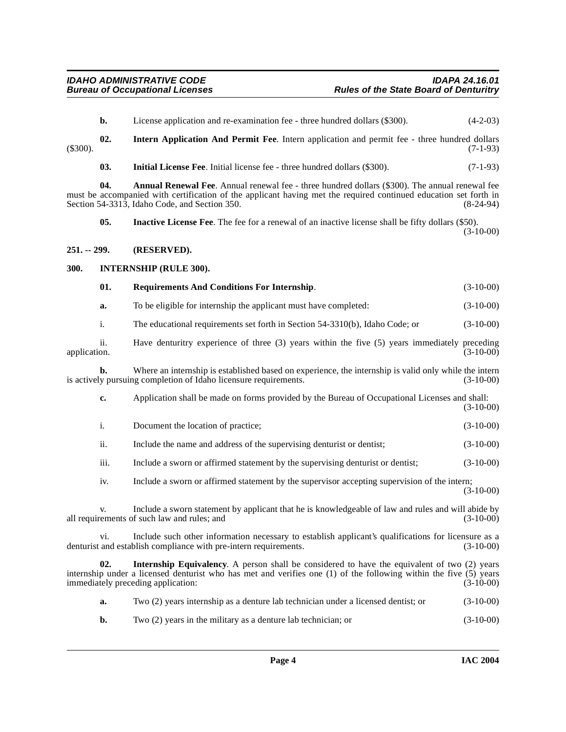<span id="page-3-8"></span><span id="page-3-7"></span><span id="page-3-5"></span><span id="page-3-4"></span><span id="page-3-3"></span><span id="page-3-2"></span><span id="page-3-1"></span><span id="page-3-0"></span>

|              | b.   | License application and re-examination fee - three hundred dollars (\$300).                                                                                                                                                                                                | $(4-2-03)$  |
|--------------|------|----------------------------------------------------------------------------------------------------------------------------------------------------------------------------------------------------------------------------------------------------------------------------|-------------|
| $(\$300).$   | 02.  | Intern Application And Permit Fee. Intern application and permit fee - three hundred dollars                                                                                                                                                                               | $(7-1-93)$  |
|              | 03.  | Initial License Fee. Initial license fee - three hundred dollars (\$300).                                                                                                                                                                                                  | $(7-1-93)$  |
|              | 04.  | <b>Annual Renewal Fee.</b> Annual renewal fee - three hundred dollars (\$300). The annual renewal fee<br>must be accompanied with certification of the applicant having met the required continued education set forth in<br>Section 54-3313, Idaho Code, and Section 350. | $(8-24-94)$ |
|              | 05.  | <b>Inactive License Fee.</b> The fee for a renewal of an inactive license shall be fifty dollars (\$50).                                                                                                                                                                   | $(3-10-00)$ |
| 251. -- 299. |      | (RESERVED).                                                                                                                                                                                                                                                                |             |
| 300.         |      | <b>INTERNSHIP (RULE 300).</b>                                                                                                                                                                                                                                              |             |
|              | 01.  | <b>Requirements And Conditions For Internship.</b>                                                                                                                                                                                                                         | $(3-10-00)$ |
|              | a.   | To be eligible for internship the applicant must have completed:                                                                                                                                                                                                           | $(3-10-00)$ |
|              | i.   | The educational requirements set forth in Section 54-3310(b), Idaho Code; or                                                                                                                                                                                               | $(3-10-00)$ |
| application. | ii.  | Have denturitry experience of three (3) years within the five (5) years immediately preceding                                                                                                                                                                              | $(3-10-00)$ |
|              | b.   | Where an internship is established based on experience, the internship is valid only while the intern<br>is actively pursuing completion of Idaho licensure requirements.                                                                                                  | $(3-10-00)$ |
|              | c.   | Application shall be made on forms provided by the Bureau of Occupational Licenses and shall:                                                                                                                                                                              | $(3-10-00)$ |
|              | i.   | Document the location of practice;                                                                                                                                                                                                                                         | $(3-10-00)$ |
|              | ii.  | Include the name and address of the supervising denturist or dentist;                                                                                                                                                                                                      | $(3-10-00)$ |
|              | iii. | Include a sworn or affirmed statement by the supervising denturist or dentist;                                                                                                                                                                                             | $(3-10-00)$ |
|              | iv.  | Include a sworn or affirmed statement by the supervisor accepting supervision of the intern;                                                                                                                                                                               | $(3-10-00)$ |
|              | v.   | Include a sworn statement by applicant that he is knowledgeable of law and rules and will abide by<br>all requirements of such law and rules; and                                                                                                                          | $(3-10-00)$ |
|              | Vİ.  | Include such other information necessary to establish applicant's qualifications for licensure as a<br>denturist and establish compliance with pre-intern requirements.                                                                                                    | $(3-10-00)$ |
|              | 02.  | <b>Internship Equivalency.</b> A person shall be considered to have the equivalent of two (2) years<br>internship under a licensed denturist who has met and verifies one (1) of the following within the five (5) years<br>immediately preceding application:             | $(3-10-00)$ |
|              | a.   | Two (2) years internship as a denture lab technician under a licensed dentist; or                                                                                                                                                                                          | $(3-10-00)$ |
|              |      |                                                                                                                                                                                                                                                                            |             |

<span id="page-3-6"></span>**b.** Two (2) years in the military as a denture lab technician; or (3-10-00)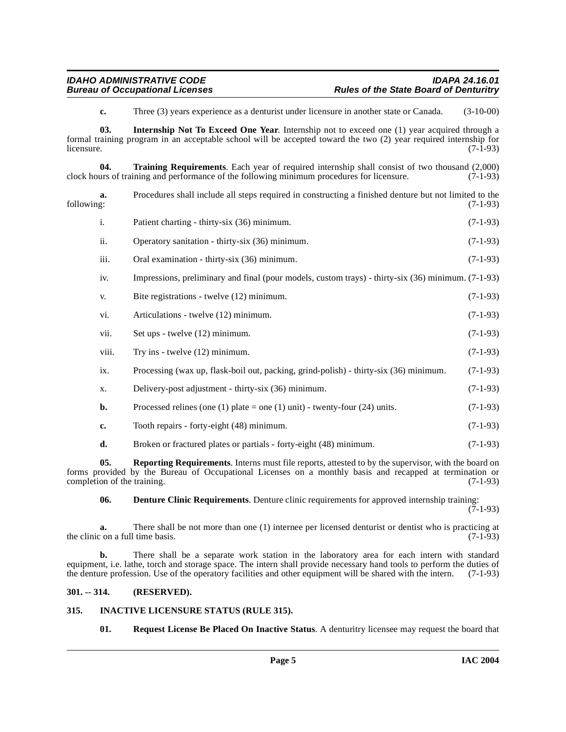<span id="page-4-7"></span><span id="page-4-4"></span>**c.** Three (3) years experience as a denturist under licensure in another state or Canada. (3-10-00)

**03. Internship Not To Exceed One Year**. Internship not to exceed one (1) year acquired through a formal training program in an acceptable school will be accepted toward the two (2) year required internship for  $l$  licensure.  $(7-1-93)$ 

**04. Training Requirements**. Each year of required internship shall consist of two thousand (2,000) urs of training and performance of the following minimum procedures for licensure. (7-1-93) clock hours of training and performance of the following minimum procedures for licensure.

**a.** Procedures shall include all steps required in constructing a finished denture but not limited to the following: (7-1-93) following: (7-1-93)

| ii.  | Operatory sanitation - thirty-six (36) minimum.                                                    | $(7-1-93)$ |
|------|----------------------------------------------------------------------------------------------------|------------|
| iii. | Oral examination - thirty-six (36) minimum.                                                        | $(7-1-93)$ |
| iv.  | Impressions, preliminary and final (pour models, custom trays) - thirty-six (36) minimum. (7-1-93) |            |
| V.   | Bite registrations - twelve (12) minimum.                                                          | $(7-1-93)$ |

i. Patient charting - thirty-six (36) minimum. (7-1-93)

vi. Articulations - twelve (12) minimum. (7-1-93)

- vii. Set ups twelve  $(12)$  minimum. (7-1-93)
- viii. Try ins twelve  $(12)$  minimum. (7-1-93)
- ix. Processing (wax up, flask-boil out, packing, grind-polish) thirty-six (36) minimum. (7-1-93)
- x. Delivery-post adjustment thirty-six (36) minimum. (7-1-93)
- **b.** Processed relines (one (1) plate = one (1) unit) twenty-four (24) units.  $(7-1-93)$
- **c.** Tooth repairs forty-eight (48) minimum. (7-1-93)

# <span id="page-4-5"></span>**d.** Broken or fractured plates or partials - forty-eight (48) minimum. (7-1-93)

**05. Reporting Requirements**. Interns must file reports, attested to by the supervisor, with the board on forms provided by the Bureau of Occupational Licenses on a monthly basis and recapped at termination or completion of the training.

<span id="page-4-2"></span>**06. Denture Clinic Requirements**. Denture clinic requirements for approved internship training:

(7-1-93)

**a.** There shall be not more than one (1) internee per licensed denturist or dentist who is practicing at  $\text{c}$  on a full time basis. (7-1-93) the clinic on a full time basis.

**b.** There shall be a separate work station in the laboratory area for each intern with standard equipment, i.e. lathe, torch and storage space. The intern shall provide necessary hand tools to perform the duties of the denture profession. Use of the operatory facilities and other equipment will be shared with the intern. (7-1-93)

# <span id="page-4-0"></span>**301. -- 314. (RESERVED).**

# <span id="page-4-1"></span>**315. INACTIVE LICENSURE STATUS (RULE 315).**

<span id="page-4-6"></span><span id="page-4-3"></span>**01. Request License Be Placed On Inactive Status**. A denturitry licensee may request the board that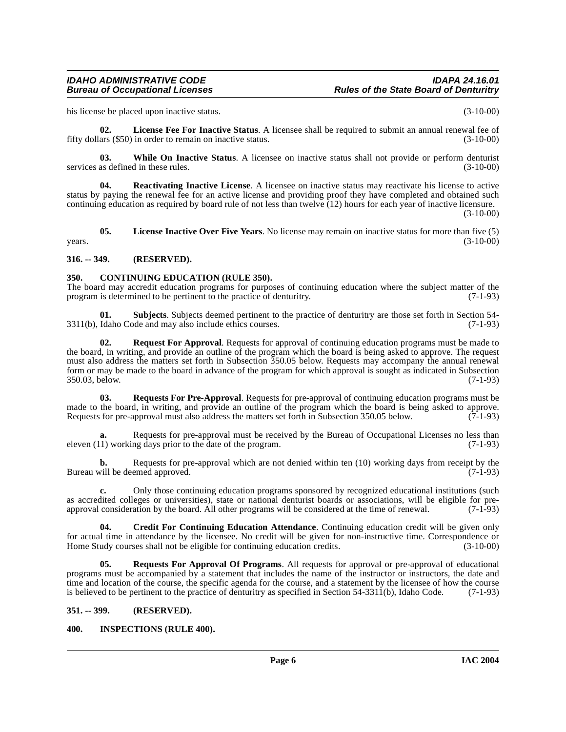his license be placed upon inactive status. (3-10-00)

<span id="page-5-7"></span>**02. License Fee For Inactive Status**. A licensee shall be required to submit an annual renewal fee of fifty dollars (\$50) in order to remain on inactive status. (3-10-00)

<span id="page-5-13"></span>**03.** While On Inactive Status. A licensee on inactive status shall not provide or perform denturist as defined in these rules. (3-10-00) services as defined in these rules.

<span id="page-5-9"></span>**04. Reactivating Inactive License**. A licensee on inactive status may reactivate his license to active status by paying the renewal fee for an active license and providing proof they have completed and obtained such continuing education as required by board rule of not less than twelve (12) hours for each year of inactive licensure. (3-10-00)

<span id="page-5-8"></span>**05. License Inactive Over Five Years**. No license may remain on inactive status for more than five (5)  $years.$  (3-10-00)

#### <span id="page-5-0"></span>**316. -- 349. (RESERVED).**

#### <span id="page-5-4"></span><span id="page-5-1"></span>**350. CONTINUING EDUCATION (RULE 350).**

The board may accredit education programs for purposes of continuing education where the subject matter of the program is determined to be pertinent to the practice of denturity. (7-1-93) program is determined to be pertinent to the practice of denturitry.

**01. Subjects**. Subjects deemed pertinent to the practice of denturitry are those set forth in Section 54-<br>Idaho Code and may also include ethics courses. (7-1-93)  $3311(b)$ , Idaho Code and may also include ethics courses.

<span id="page-5-10"></span>**02. Request For Approval**. Requests for approval of continuing education programs must be made to the board, in writing, and provide an outline of the program which the board is being asked to approve. The request must also address the matters set forth in Subsection 350.05 below. Requests may accompany the annual renewal form or may be made to the board in advance of the program for which approval is sought as indicated in Subsection 350.03, below. (7-1-93) 350.03, below.

<span id="page-5-12"></span>**03. Requests For Pre-Approval**. Requests for pre-approval of continuing education programs must be made to the board, in writing, and provide an outline of the program which the board is being asked to approve. Requests for pre-approval must also address the matters set forth in Subsection 350.05 below. (7-1-93)

**a.** Requests for pre-approval must be received by the Bureau of Occupational Licenses no less than 1) working days prior to the date of the program. (7-1-93) eleven  $(11)$  working days prior to the date of the program.

**b.** Requests for pre-approval which are not denied within ten (10) working days from receipt by the vill be deemed approved. (7-1-93) Bureau will be deemed approved.

**c.** Only those continuing education programs sponsored by recognized educational institutions (such as accredited colleges or universities), state or national denturist boards or associations, will be eligible for preapproval consideration by the board. All other programs will be considered at the time of renewal. (7-1-93)

<span id="page-5-5"></span>**04. Credit For Continuing Education Attendance**. Continuing education credit will be given only for actual time in attendance by the licensee. No credit will be given for non-instructive time. Correspondence or Home Study courses shall not be eligible for continuing education credits. (3-10-00)

<span id="page-5-11"></span>**05. Requests For Approval Of Programs**. All requests for approval or pre-approval of educational programs must be accompanied by a statement that includes the name of the instructor or instructors, the date and time and location of the course, the specific agenda for the course, and a statement by the licensee of how the course is believed to be pertinent to the practice of denturitry as specified in Section 54-3311(b), Idaho Code. (7-1-93)

# <span id="page-5-2"></span>**351. -- 399. (RESERVED).**

# <span id="page-5-6"></span><span id="page-5-3"></span>**400. INSPECTIONS (RULE 400).**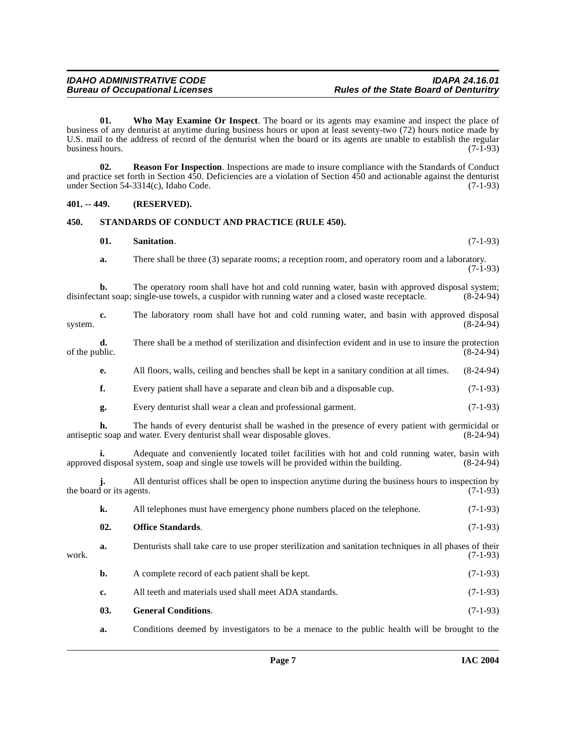<span id="page-6-6"></span>**01. Who May Examine Or Inspect**. The board or its agents may examine and inspect the place of business of any denturist at anytime during business hours or upon at least seventy-two (72) hours notice made by U.S. mail to the address of record of the denturist when the board or its agents are unable to establish the regular business hours. (7-1-93)

<span id="page-6-3"></span>**02. Reason For Inspection**. Inspections are made to insure compliance with the Standards of Conduct and practice set forth in Section 450. Deficiencies are a violation of Section 450 and actionable against the denturist under Section 54-3314(c), Idaho Code. (7-1-93)

#### <span id="page-6-0"></span>**401. -- 449. (RESERVED).**

#### <span id="page-6-1"></span>**450. STANDARDS OF CONDUCT AND PRACTICE (RULE 450).**

<span id="page-6-5"></span><span id="page-6-4"></span>

| 01. | <b>Sanitation.</b> | $(7-1-93)$ |
|-----|--------------------|------------|
|     |                    |            |

**a.** There shall be three (3) separate rooms; a reception room, and operatory room and a laboratory.  $(7-1-93)$ 

**b.** The operatory room shall have hot and cold running water, basin with approved disposal system; disinfectant soap; single-use towels, a cuspidor with running water and a closed waste receptacle. (8-24-94)

|         |  | The laboratory room shall have hot and cold running water, and basin with approved disposal |  |  |  |  |  |  |             |
|---------|--|---------------------------------------------------------------------------------------------|--|--|--|--|--|--|-------------|
| system. |  |                                                                                             |  |  |  |  |  |  | $(8-24-94)$ |

- **d.** There shall be a method of sterilization and disinfection evident and in use to insure the protection of the public. (8-24-94) of the public.  $(8-24-94)$ 
	- **e.** All floors, walls, ceiling and benches shall be kept in a sanitary condition at all times. (8-24-94)
	- **f.** Every patient shall have a separate and clean bib and a disposable cup.  $(7-1-93)$
	- **g.** Every denturist shall wear a clean and professional garment. (7-1-93)

**h.** The hands of every denturist shall be washed in the presence of every patient with germicidal or c soap and water. Every denturist shall wear disposable gloves. (8-24-94) antiseptic soap and water. Every denturist shall wear disposable gloves.

**i.** Adequate and conveniently located toilet facilities with hot and cold running water, basin with disposal system, soap and single use towels will be provided within the building. (8-24-94) approved disposal system, soap and single use towels will be provided within the building.

**j.** All denturist offices shall be open to inspection anytime during the business hours to inspection by the board or its agents.  $(7-1-93)$ 

<span id="page-6-2"></span>

| All telephones must have emergency phone numbers placed on the telephone. | $(7-1-93)$ |
|---------------------------------------------------------------------------|------------|
| <b>Office Standards.</b>                                                  | $(7-1-93)$ |

| work. | Denturists shall take care to use proper sterilization and sanitation techniques in all phases of their<br>$(7-1-93)$ |
|-------|-----------------------------------------------------------------------------------------------------------------------|
|       |                                                                                                                       |

- **b.** A complete record of each patient shall be kept. (7-1-93) **c.** All teeth and materials used shall meet ADA standards. (7-1-93)
- **03. General Conditions**. (7-1-93)
- **a.** Conditions deemed by investigators to be a menace to the public health will be brought to the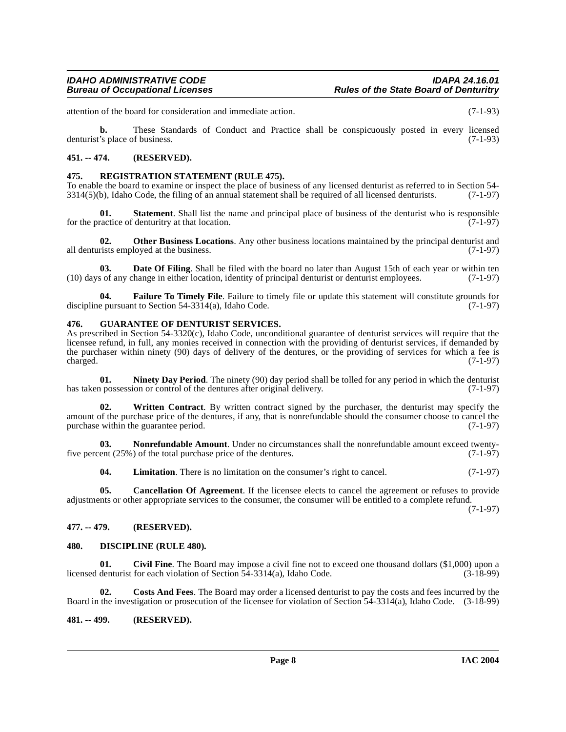attention of the board for consideration and immediate action. (7-1-93)

**b.** These Standards of Conduct and Practice shall be conspicuously posted in every licensed denturist's place of business. (7-1-93)

### <span id="page-7-0"></span>**451. -- 474. (RESERVED).**

#### <span id="page-7-17"></span><span id="page-7-1"></span>**475. REGISTRATION STATEMENT (RULE 475).**

To enable the board to examine or inspect the place of business of any licensed denturist as referred to in Section 54-  $3314(5)$ (b), Idaho Code, the filing of an annual statement shall be required of all licensed denturists. (7-1-97)

**01. Statement**. Shall list the name and principal place of business of the denturist who is responsible ractice of denturitry at that location. (7-1-97) for the practice of denturitry at that location.

<span id="page-7-16"></span>**02. Other Business Locations**. Any other business locations maintained by the principal denturist and rists employed at the business. (7-1-97) all denturists employed at the business.

<span id="page-7-9"></span>**03. Date Of Filing**. Shall be filed with the board no later than August 15th of each year or within ten (10) days of any change in either location, identity of principal denturist or denturist employees. (7-1-97)

<span id="page-7-11"></span>**04. Failure To Timely File**. Failure to timely file or update this statement will constitute grounds for e pursuant to Section 54-3314(a). Idaho Code. discipline pursuant to Section  $54-3314(a)$ , Idaho Code.

#### <span id="page-7-12"></span><span id="page-7-2"></span>**476. GUARANTEE OF DENTURIST SERVICES.**

As prescribed in Section 54-3320(c), Idaho Code, unconditional guarantee of denturist services will require that the licensee refund, in full, any monies received in connection with the providing of denturist services, if demanded by the purchaser within ninety (90) days of delivery of the dentures, or the providing of services for which a fee is charged.  $(7-1-97)$ 

<span id="page-7-14"></span>**01. Ninety Day Period**. The ninety (90) day period shall be tolled for any period in which the denturist n possession or control of the dentures after original delivery. (7-1-97) has taken possession or control of the dentures after original delivery.

<span id="page-7-18"></span>**Written Contract**. By written contract signed by the purchaser, the denturist may specify the amount of the purchase price of the dentures, if any, that is nonrefundable should the consumer choose to cancel the purchase within the guarantee period. (7-1-97)

**Nonrefundable Amount**. Under no circumstances shall the nonrefundable amount exceed twenty-<br>of the total purchase price of the dentures. (7-1-97) five percent  $(25\%)$  of the total purchase price of the dentures.

<span id="page-7-15"></span><span id="page-7-13"></span><span id="page-7-6"></span>**04.** Limitation. There is no limitation on the consumer's right to cancel. (7-1-97)

**05. Cancellation Of Agreement**. If the licensee elects to cancel the agreement or refuses to provide adjustments or other appropriate services to the consumer, the consumer will be entitled to a complete refund.

(7-1-97)

# <span id="page-7-3"></span>**477. -- 479. (RESERVED).**

#### <span id="page-7-10"></span><span id="page-7-4"></span>**480. DISCIPLINE (RULE 480).**

<span id="page-7-7"></span>**01.** Civil Fine. The Board may impose a civil fine not to exceed one thousand dollars (\$1,000) upon a denturist for each violation of Section 54-3314(a). Idaho Code. (3-18-99) licensed denturist for each violation of Section  $54-3314(a)$ , Idaho Code.

<span id="page-7-8"></span>**02. Costs And Fees**. The Board may order a licensed denturist to pay the costs and fees incurred by the Board in the investigation or prosecution of the licensee for violation of Section 54-3314(a), Idaho Code. (3-18-99)

#### <span id="page-7-5"></span>**481. -- 499. (RESERVED).**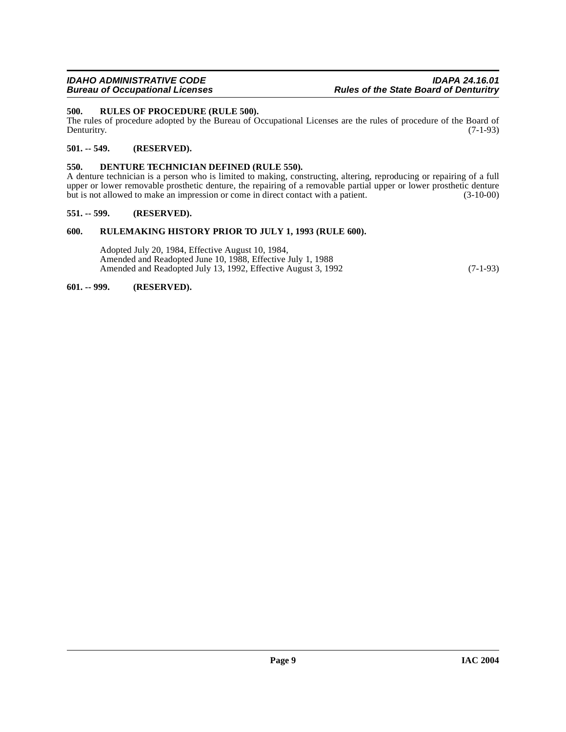# <span id="page-8-7"></span><span id="page-8-0"></span>**500. RULES OF PROCEDURE (RULE 500).**

The rules of procedure adopted by the Bureau of Occupational Licenses are the rules of procedure of the Board of Denturity. (7-1-93) Denturitry. (7-1-93)

# <span id="page-8-1"></span>**501. -- 549. (RESERVED).**

# <span id="page-8-6"></span><span id="page-8-2"></span>**550. DENTURE TECHNICIAN DEFINED (RULE 550).**

A denture technician is a person who is limited to making, constructing, altering, reproducing or repairing of a full upper or lower removable prosthetic denture, the repairing of a removable partial upper or lower prosthetic denture but is not allowed to make an impression or come in direct contact with a patient. (3-10-00)

#### <span id="page-8-3"></span>**551. -- 599. (RESERVED).**

#### <span id="page-8-4"></span>**600. RULEMAKING HISTORY PRIOR TO JULY 1, 1993 (RULE 600).**

Adopted July 20, 1984, Effective August 10, 1984, Amended and Readopted June 10, 1988, Effective July 1, 1988 Amended and Readopted July 13, 1992, Effective August 3, 1992 (7-1-93)

#### <span id="page-8-5"></span>**601. -- 999. (RESERVED).**